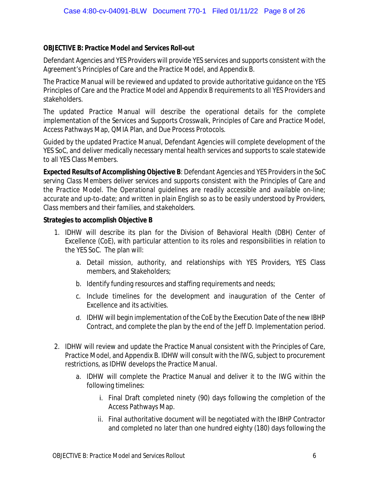## **OBJECTIVE B: Practice Model and Services Roll-out**

Defendant Agencies and YES Providers will provide YES services and supports consistent with the Agreement's Principles of Care and the Practice Model, and Appendix B.

The Practice Manual will be reviewed and updated to provide authoritative guidance on the YES Principles of Care and the Practice Model and Appendix B requirements to all YES Providers and stakeholders.

The updated Practice Manual will describe the operational details for the complete implementation of the Services and Supports Crosswalk, Principles of Care and Practice Model, Access Pathways Map, QMIA Plan, and Due Process Protocols.

Guided by the updated Practice Manual, Defendant Agencies will complete development of the YES SoC, and deliver medically necessary mental health services and supports to scale statewide to all YES Class Members.

*Expected Results of Accomplishing Objective B: Defendant Agencies and YES Providers in the SoC serving Class Members deliver services and supports consistent with the Principles of Care and the Practice Model. The Operational guidelines are readily accessible and available on-line; accurate and up-to-date; and written in plain English so as to be easily understood by Providers, Class members and their families, and stakeholders.*

**Strategies to accomplish Objective B**

- 1. IDHW will describe its plan for the Division of Behavioral Health (DBH) Center of Excellence (CoE), with particular attention to its roles and responsibilities in relation to the YES SoC. The plan will:
	- a. Detail mission, authority, and relationships with YES Providers, YES Class members, and Stakeholders;
	- b. Identify funding resources and staffing requirements and needs;
	- c. Include timelines for the development and inauguration of the Center of Excellence and its activities.
	- d. IDHW will begin implementation of the CoE by the Execution Date of the new IBHP Contract, and complete the plan by the end of the Jeff D. Implementation period.
- 2. IDHW will review and update the Practice Manual consistent with the Principles of Care, Practice Model, and Appendix B. IDHW will consult with the IWG, subject to procurement restrictions, as IDHW develops the Practice Manual.
	- a. IDHW will complete the Practice Manual and deliver it to the IWG within the following timelines:
		- i. Final Draft completed ninety (90) days following the completion of the Access Pathways Map.
		- ii. Final authoritative document will be negotiated with the IBHP Contractor and completed no later than one hundred eighty (180) days following the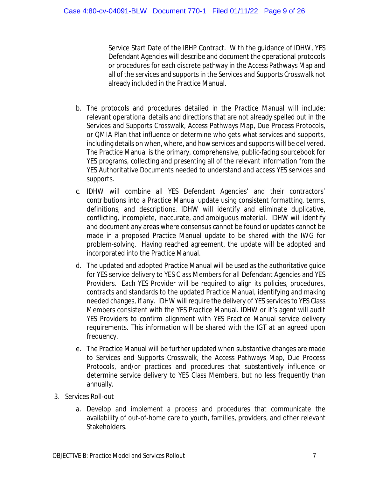Service Start Date of the IBHP Contract. With the guidance of IDHW, YES Defendant Agencies will describe and document the operational protocols or procedures for each discrete pathway in the Access Pathways Map and all of the services and supports in the Services and Supports Crosswalk not already included in the Practice Manual.

- b. The protocols and procedures detailed in the Practice Manual will include: relevant operational details and directions that are not already spelled out in the Services and Supports Crosswalk, Access Pathways Map, Due Process Protocols, or QMIA Plan that influence or determine who gets what services and supports, including details on when, where, and how services and supports will be delivered. The Practice Manual is the primary, comprehensive, public-facing sourcebook for YES programs, collecting and presenting all of the relevant information from the YES Authoritative Documents needed to understand and access YES services and supports.
- c. IDHW will combine all YES Defendant Agencies' and their contractors' contributions into a Practice Manual update using consistent formatting, terms, definitions, and descriptions. IDHW will identify and eliminate duplicative, conflicting, incomplete, inaccurate, and ambiguous material. IDHW will identify and document any areas where consensus cannot be found or updates cannot be made in a proposed Practice Manual update to be shared with the IWG for problem-solving. Having reached agreement, the update will be adopted and incorporated into the Practice Manual.
- d. The updated and adopted Practice Manual will be used as the authoritative guide for YES service delivery to YES Class Members for all Defendant Agencies and YES Providers. Each YES Provider will be required to align its policies, procedures, contracts and standards to the updated Practice Manual, identifying and making needed changes, if any. IDHW will require the delivery of YES services to YES Class Members consistent with the YES Practice Manual. IDHW or it's agent will audit YES Providers to confirm alignment with YES Practice Manual service delivery requirements. This information will be shared with the IGT at an agreed upon frequency.
- e. The Practice Manual will be further updated when substantive changes are made to Services and Supports Crosswalk, the Access Pathways Map, Due Process Protocols, and/or practices and procedures that substantively influence or determine service delivery to YES Class Members, but no less frequently than annually.
- 3. Services Roll-out
	- a. Develop and implement a process and procedures that communicate the availability of out-of-home care to youth, families, providers, and other relevant Stakeholders.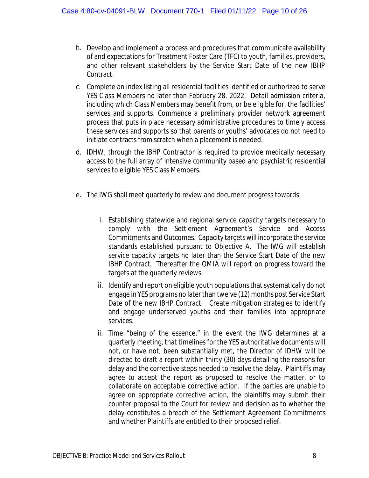- b. Develop and implement a process and procedures that communicate availability of and expectations for Treatment Foster Care (TFC) to youth, families, providers, and other relevant stakeholders by the Service Start Date of the new IBHP Contract.
- c. Complete an index listing all residential facilities identified or authorized to serve YES Class Members no later than February 28, 2022. Detail admission criteria, including which Class Members may benefit from, or be eligible for, the facilities' services and supports. Commence a preliminary provider network agreement process that puts in place necessary administrative procedures to timely access these services and supports so that parents or youths' advocates do not need to initiate contracts from scratch when a placement is needed.
- d. IDHW, through the IBHP Contractor is required to provide medically necessary access to the full array of intensive community based and psychiatric residential services to eligible YES Class Members.
- e. The IWG shall meet quarterly to review and document progress towards:
	- i. Establishing statewide and regional service capacity targets necessary to comply with the Settlement Agreement's Service and Access Commitments and Outcomes. Capacity targets will incorporate the service standards established pursuant to Objective A. The IWG will establish service capacity targets no later than the Service Start Date of the new IBHP Contract. Thereafter the QMIA will report on progress toward the targets at the quarterly reviews.
	- ii. Identify and report on eligible youth populations that systematically do not engage in YES programs no later than twelve (12) months post Service Start Date of the new IBHP Contract. Create mitigation strategies to identify and engage underserved youths and their families into appropriate services.
	- iii. Time "being of the essence," in the event the IWG determines at a quarterly meeting, that timelines for the YES authoritative documents will not, or have not, been substantially met, the Director of IDHW will be directed to draft a report within thirty (30) days detailing the reasons for delay and the corrective steps needed to resolve the delay. Plaintiffs may agree to accept the report as proposed to resolve the matter, or to collaborate on acceptable corrective action. If the parties are unable to agree on appropriate corrective action, the plaintiffs may submit their counter proposal to the Court for review and decision as to whether the delay constitutes a breach of the Settlement Agreement Commitments and whether Plaintiffs are entitled to their proposed relief.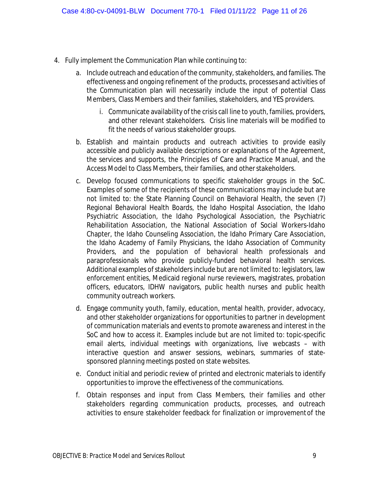- 4. Fully implement the Communication Plan while continuing to:
	- a. Include outreach and education of the community, stakeholders, and families. The effectiveness and ongoing refinement of the products, processes and activities of the Communication plan will necessarily include the input of potential Class Members, Class Members and their families, stakeholders, and YES providers.
		- i. Communicate availability of the crisis call line to youth, families, providers, and other relevant stakeholders. Crisis line materials will be modified to fit the needs of various stakeholder groups.
	- b. Establish and maintain products and outreach activities to provide easily accessible and publicly available descriptions or explanations of the Agreement, the services and supports, the Principles of Care and Practice Manual, and the Access Model to Class Members, their families, and other stakeholders.
	- c. Develop focused communications to specific stakeholder groups in the SoC. Examples of some of the recipients of these communications may include but are not limited to: the State Planning Council on Behavioral Health, the seven (7) Regional Behavioral Health Boards, the Idaho Hospital Association, the Idaho Psychiatric Association, the Idaho Psychological Association, the Psychiatric Rehabilitation Association, the National Association of Social Workers-Idaho Chapter, the Idaho Counseling Association, the Idaho Primary Care Association, the Idaho Academy of Family Physicians, the Idaho Association of Community Providers, and the population of behavioral health professionals and paraprofessionals who provide publicly-funded behavioral health services. Additional examples of stakeholders include but are not limited to: legislators, law enforcement entities, Medicaid regional nurse reviewers, magistrates, probation officers, educators, IDHW navigators, public health nurses and public health community outreach workers.
	- d. Engage community youth, family, education, mental health, provider, advocacy, and other stakeholder organizations for opportunities to partner in development of communication materials and events to promote awareness and interest in the SoC and how to access it. Examples include but are not limited to: topic-specific email alerts, individual meetings with organizations, live webcasts – with interactive question and answer sessions, webinars, summaries of statesponsored planning meetings posted on state websites.
	- e. Conduct initial and periodic review of printed and electronic materials to identify opportunities to improve the effectiveness of the communications.
	- f. Obtain responses and input from Class Members, their families and other stakeholders regarding communication products, processes, and outreach activities to ensure stakeholder feedback for finalization or improvement of the